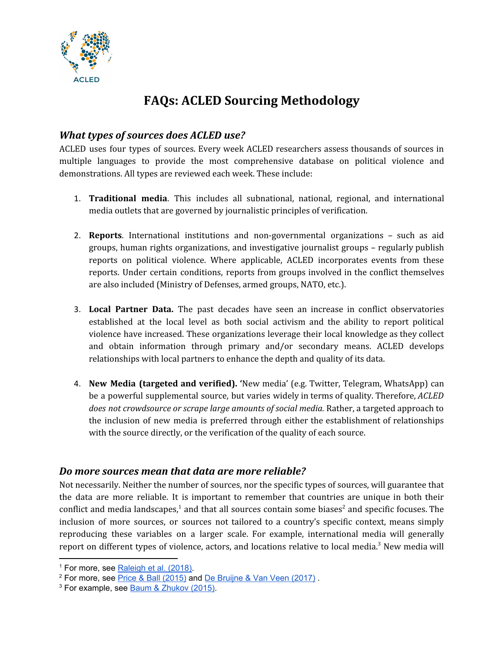

# **FAQs: ACLED Sourcing Methodology**

### *What types of sources does ACLED use?*

ACLED uses four types of sources. Every week ACLED researchers assess thousands of sources in multiple languages to provide the most comprehensive database on political violence and demonstrations. All types are reviewed each week. These include:

- 1. **Traditional media**. This includes all subnational, national, regional, and international media outlets that are governed by journalistic principles of verification.
- 2. **Reports**. International institutions and non-governmental organizations such as aid groups, human rights organizations, and investigative journalist groups – regularly publish reports on political violence. Where applicable, ACLED incorporates events from these reports. Under certain conditions, reports from groups involved in the conflict themselves are also included (Ministry of Defenses, armed groups, NATO, etc.).
- 3. **Local Partner Data.** The past decades have seen an increase in conflict observatories established at the local level as both social activism and the ability to report political violence have increased. These organizations leverage their local knowledge as they collect and obtain information through primary and/or secondary means. ACLED develops relationships with local partners to enhance the depth and quality of its data.
- 4. **New Media (targeted and verified). '**New media' (e.g. Twitter, Telegram, WhatsApp) can be a powerful supplemental source, but varies widely in terms of quality. Therefore, *ACLED does not crowdsource or scrape large amounts of social media.* Rather, a targeted approach to the inclusion of new media is preferred through either the establishment of relationships with the source directly, or the verification of the quality of each source.

#### *Do more sources mean that data are more reliable?*

Not necessarily. Neither the number of sources, nor the specific types of sources, will guarantee that the data are more reliable. It is important to remember that countries are unique in both their conflict and media landscapes,<sup>1</sup> and that all sources contain some biases<sup>2</sup> and specific focuses. The inclusion of more sources, or sources not tailored to a country's specific context, means simply reproducing these variables on a larger scale. For example, international media will generally report on different types of violence, actors, and locations relative to local media.<sup>3</sup> New media will

<sup>&</sup>lt;sup>1</sup> For more, see [Raleigh](https://www.clingendael.org/publication/conflict-environments-and-coverage) et al. (2018).

<sup>2</sup> For more, see Price & Ball [\(2015\)](https://content.iospress.com/articles/statistical-journal-of-the-iaos/sji899) and De [Bruijne](https://www.clingendael.org/sites/default/files/2018-01/Report_Pride_and_Prejudice.pdf) & Van Veen (2017) .

<sup>3</sup> For example, see Baum & [Zhukov](https://journals.sagepub.com/doi/10.1177/0022343314554791) (2015).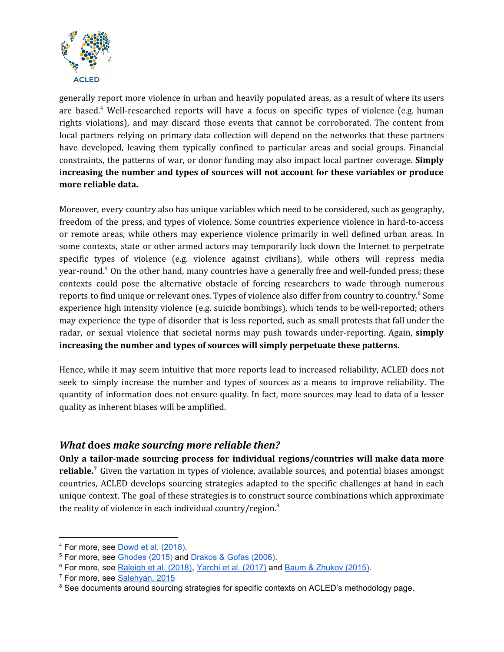

generally report more violence in urban and heavily populated areas, as a result of where its users are based.<sup>4</sup> Well-researched reports will have a focus on specific types of violence (e.g. human rights violations), and may discard those events that cannot be corroborated. The content from local partners relying on primary data collection will depend on the networks that these partners have developed, leaving them typically confined to particular areas and social groups. Financial constraints, the patterns of war, or donor funding may also impact local partner coverage. **Simply increasing the number and types of sources will not account for these variables or produce more reliable data.**

Moreover, every country also has unique variables which need to be considered, such as geography, freedom of the press, and types of violence. Some countries experience violence in hard-to-access or remote areas, while others may experience violence primarily in well defined urban areas. In some contexts, state or other armed actors may temporarily lock down the Internet to perpetrate specific types of violence (e.g. violence against civilians), while others will repress media year-round.<sup>5</sup> On the other hand, many countries have a generally free and well-funded press; these contexts could pose the alternative obstacle of forcing researchers to wade through numerous reports to find unique or relevant ones. Types of violence also differ from country to country.<sup>6</sup> Some experience high intensity violence (e.g. suicide bombings), which tends to be well-reported; others may experience the type of disorder that is less reported, such as small protests that fall under the radar, or sexual violence that societal norms may push towards under-reporting. Again, **simply increasing the number and types of sources will simply perpetuate these patterns.**

Hence, while it may seem intuitive that more reports lead to increased reliability, ACLED does not seek to simply increase the number and types of sources as a means to improve reliability. The quantity of information does not ensure quality. In fact, more sources may lead to data of a lesser quality as inherent biases will be amplified.

#### *What* **does** *make sourcing more reliable then?*

**Only a tailor-made sourcing process for individual regions/countries will make data more** reliable.<sup>7</sup> Given the variation in types of violence, available sources, and potential biases amongst countries, ACLED develops sourcing strategies adapted to the specific challenges at hand in each unique context. The goal of these strategies is to construct source combinations which approximate the reality of violence in each individual country/region. $^8$ 

<sup>4</sup> For more, see Dowd et al. [\(2018\).](https://www.ids.ac.uk/publications/comparing-new-and-old-media-for-violence-monitoring-and-crisis-response-in-kenya/)

<sup>&</sup>lt;sup>5</sup> For more, see [Ghodes](https://doi.org/10.1177/0022343314551398) (2015) and [Drakos](https://journals.sagepub.com/doi/10.1177/0022002706291051) & Gofas (2006).

<sup>6</sup> For more, see [Raleigh](https://www.clingendael.org/publication/conflict-environments-and-coverage) et al. (2018), Yarchi et al. [\(2017\)](https://journals.sagepub.com/doi/10.1177/1750635217711202) and Baum & [Zhukov](https://journals.sagepub.com/doi/10.1177/0022343314554791) (2015).

<sup>&</sup>lt;sup>7</sup> For more, see [Salehyan,](https://doi.org/10.1177%2F0022343314551563) 2015

<sup>&</sup>lt;sup>8</sup> See documents around sourcing strategies for specific contexts on ACLED's methodology page.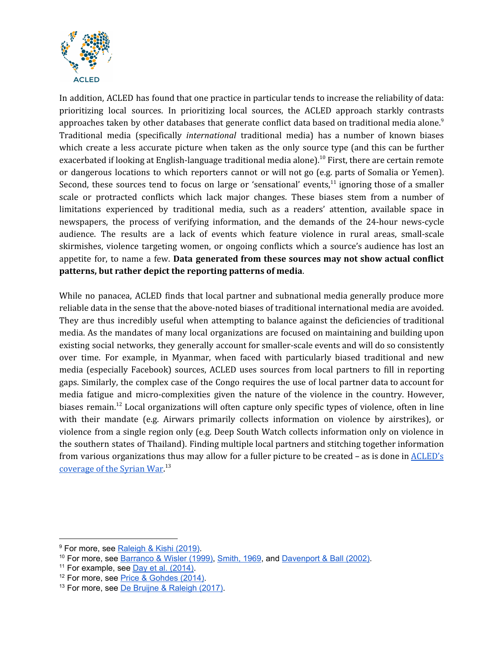

In addition, ACLED has found that one practice in particular tends to increase the reliability of data: prioritizing local sources. In prioritizing local sources, the ACLED approach starkly contrasts approaches taken by other databases that generate conflict data based on traditional media alone. $^9$ Traditional media (specifically *international* traditional media) has a number of known biases which create a less accurate picture when taken as the only source type (and this can be further exacerbated if looking at English-language traditional media alone). $^{10}$  First, there are certain remote or dangerous locations to which reporters cannot or will not go (e.g. parts of Somalia or Yemen). Second, these sources tend to focus on large or 'sensational' events, $11$  ignoring those of a smaller scale or protracted conflicts which lack major changes. These biases stem from a number of limitations experienced by traditional media, such as a readers' attention, available space in newspapers, the process of verifying information, and the demands of the 24-hour news-cycle audience. The results are a lack of events which feature violence in rural areas, small-scale skirmishes, violence targeting women, or ongoing conflicts which a source's audience has lost an appetite for, to name a few. **Data generated from these sources may not show actual conflict patterns, but rather depict the reporting patterns of media**.

While no panacea, ACLED finds that local partner and subnational media generally produce more reliable data in the sense that the above-noted biases of traditional international media are avoided. They are thus incredibly useful when attempting to balance against the deficiencies of traditional media. As the mandates of many local organizations are focused on maintaining and building upon existing social networks, they generally account for smaller-scale events and will do so consistently over time. For example, in Myanmar, when faced with particularly biased traditional and new media (especially Facebook) sources, ACLED uses sources from local partners to fill in reporting gaps. Similarly, the complex case of the Congo requires the use of local partner data to account for media fatigue and micro-complexities given the nature of the violence in the country. However, biases remain.<sup>12</sup> Local organizations will often capture only specific types of violence, often in line with their mandate (e.g. Airwars primarily collects information on violence by airstrikes), or violence from a single region only (e.g. Deep South Watch collects information only on violence in the southern states of Thailand). Finding multiple local partners and stitching together information from various organizations thus may allow for a fuller picture to be created – as is done in [ACLED's](https://www.acleddata.com/syria-partner-network/) [coverage](https://www.acleddata.com/syria-partner-network/) of the Syrian War.<sup>13</sup>

<sup>&</sup>lt;sup>9</sup> For more, see [Raleigh](https://www.acleddata.com/wp-content/uploads/2019/09/ACLED-Comparison_8.2019.pdf) & Kishi (2019).

<sup>10</sup> For more, see [Barranco](https://academic.oup.com/esr/article-abstract/15/3/301/485975?redirectedFrom=fulltext) & Wisler (1999), [Smith,](https://doi-org/10.1177%2F002234336900600103) 1969, and [Davenport](https://www.jstor.org/stable/3176233?seq=1#page_scan_tab_contents) & Ball (2002).

<sup>&</sup>lt;sup>11</sup> For example, see Day et al. [\(2014\).](https://journals.sagepub.com/doi/abs/10.1177/0022343314533985)

<sup>12</sup> For more, see Price & [Gohdes](http://politicalviolenceataglance.org/2014/04/02/searching-for-trends-analyzing-patterns-in-conflict-violence-data/) (2014).

<sup>&</sup>lt;sup>13</sup> For more, see De Bruijne & [Raleigh](https://www.acleddata.com/wp-content/uploads/2018/05/PilotReport_March2018_FINAL-1.pdf) (2017).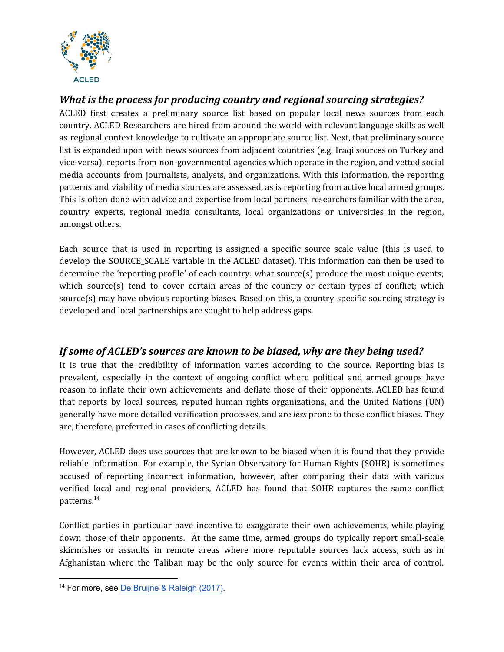

# *What is the process for producing country and regional sourcing strategies?*

ACLED first creates a preliminary source list based on popular local news sources from each country. ACLED Researchers are hired from around the world with relevant language skills as well as regional context knowledge to cultivate an appropriate source list. Next, that preliminary source list is expanded upon with news sources from adjacent countries (e.g. Iraqi sources on Turkey and vice-versa), reports from non-governmental agencies which operate in the region, and vetted social media accounts from journalists, analysts, and organizations. With this information, the reporting patterns and viability of media sources are assessed, as is reporting from active local armed groups. This is often done with advice and expertise from local partners, researchers familiar with the area, country experts, regional media consultants, local organizations or universities in the region, amongst others.

Each source that is used in reporting is assigned a specific source scale value (this is used to develop the SOURCE\_SCALE variable in the ACLED dataset). This information can then be used to determine the 'reporting profile' of each country: what source(s) produce the most unique events; which source(s) tend to cover certain areas of the country or certain types of conflict; which source(s) may have obvious reporting biases. Based on this, a country-specific sourcing strategy is developed and local partnerships are sought to help address gaps.

# *If some of ACLED's sources are known to be biased, why are they being used?*

It is true that the credibility of information varies according to the source. Reporting bias is prevalent, especially in the context of ongoing conflict where political and armed groups have reason to inflate their own achievements and deflate those of their opponents. ACLED has found that reports by local sources, reputed human rights organizations, and the United Nations (UN) generally have more detailed verification processes, and are *less* prone to these conflict biases. They are, therefore, preferred in cases of conflicting details.

However, ACLED does use sources that are known to be biased when it is found that they provide reliable information. For example, the Syrian Observatory for Human Rights (SOHR) is sometimes accused of reporting incorrect information, however, after comparing their data with various verified local and regional providers, ACLED has found that SOHR captures the same conflict patterns.<sup>14</sup>

Conflict parties in particular have incentive to exaggerate their own achievements, while playing down those of their opponents. At the same time, armed groups do typically report small-scale skirmishes or assaults in remote areas where more reputable sources lack access, such as in Afghanistan where the Taliban may be the only source for events within their area of control.

<sup>14</sup> For more, see De Bruijne & [Raleigh](https://www.acleddata.com/wp-content/uploads/2018/05/PilotReport_March2018_FINAL-1.pdf) (2017).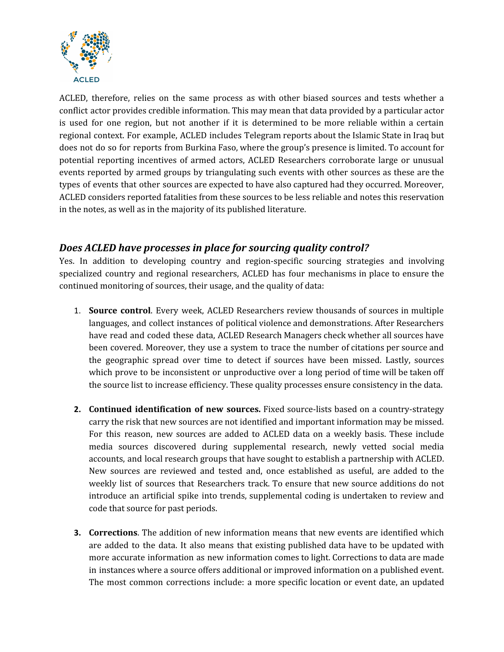

ACLED, therefore, relies on the same process as with other biased sources and tests whether a conflict actor provides credible information. This may mean that data provided by a particular actor is used for one region, but not another if it is determined to be more reliable within a certain regional context. For example, ACLED includes Telegram reports about the Islamic State in Iraq but does not do so for reports from Burkina Faso, where the group's presence is limited. To account for potential reporting incentives of armed actors, ACLED Researchers corroborate large or unusual events reported by armed groups by triangulating such events with other sources as these are the types of events that other sources are expected to have also captured had they occurred. Moreover, ACLED considers reported fatalities from these sources to be less reliable and notes this reservation in the notes, as well as in the majority of its published literature.

## *Does ACLED have processes in place for sourcing quality control?*

Yes. In addition to developing country and region-specific sourcing strategies and involving specialized country and regional researchers, ACLED has four mechanisms in place to ensure the continued monitoring of sources, their usage, and the quality of data:

- 1. **Source control**. Every week, ACLED Researchers review thousands of sources in multiple languages, and collect instances of political violence and demonstrations. After Researchers have read and coded these data, ACLED Research Managers check whether all sources have been covered. Moreover, they use a system to trace the number of citations per source and the geographic spread over time to detect if sources have been missed. Lastly, sources which prove to be inconsistent or unproductive over a long period of time will be taken off the source list to increase efficiency. These quality processes ensure consistency in the data.
- **2. Continued identification of new sources.** Fixed source-lists based on a country-strategy carry the risk that new sources are not identified and important information may be missed. For this reason, new sources are added to ACLED data on a weekly basis. These include media sources discovered during supplemental research, newly vetted social media accounts, and local research groups that have sought to establish a partnership with ACLED. New sources are reviewed and tested and, once established as useful, are added to the weekly list of sources that Researchers track. To ensure that new source additions do not introduce an artificial spike into trends, supplemental coding is undertaken to review and code that source for past periods.
- **3. Corrections**. The addition of new information means that new events are identified which are added to the data. It also means that existing published data have to be updated with more accurate information as new information comes to light. Corrections to data are made in instances where a source offers additional or improved information on a published event. The most common corrections include: a more specific location or event date, an updated